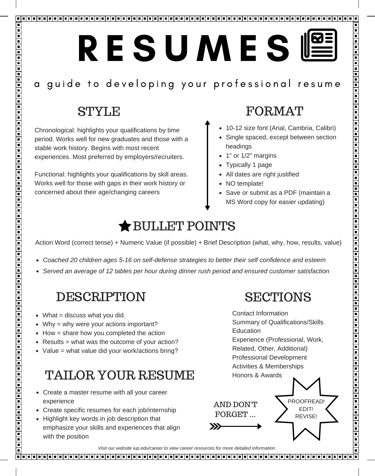# RESUMES®

## a guide to developing your professional resume

## STYLE

Ē

| | | | | | | | | | |

Ē

 $\overline{\phantom{1}}$ 

Chronological: highlights your qualifications by time period. Works well for new graduates and those with a stable work history. Begins with most recent experiences. Most preferred by employers/recruiters.

Functional: highlights your qualifications by skill areas. Works well for those with gaps in their work history or concerned about their age/changing careers

## FORMAT

- 10-12 size font (Arial, Cambria, Calibri)
- Single spaced, except between section headings
- 1" or 1/2" margins
- Typically 1 page
- All dates are right justified
- NO template!
- Save or submit as a PDF (maintain a MS Word copy for easier updating)

## BULLET POINTS

Action Word (correct tense) + Numeric Value (if possible) + Brief Description (what, why, how, results, value)

- *Coached 20 children ages 5-16 on self-defense strategies to better their self confidence and esteem*
- *Served an average of 12 tables per hour during dinner rush period and ensured customer satisfaction*

## DESCRIPTION

- $\bullet$  What = discuss what you did.
- Why = why were your actions important?
- $\bullet$  How = share how you completed the action
- Results = what was the outcome of your action?
- Value = what value did your work/actions bring?

## TAILOR YOUR RESUME

- Create a master resume with all your career experience
- Create specific resumes for each job/internship
- Highlight key words in job description that emphasize your skills and experiences that align with the position

## **SECTIONS**

Contact Information Summary of Qualifications/Skills Education Experience (Professional, Work, Related, Other, Additional) Professional Development Activities & Memberships Honors & Awards



*Visit our website iup.edu/career to view career resources for more detailed information.*